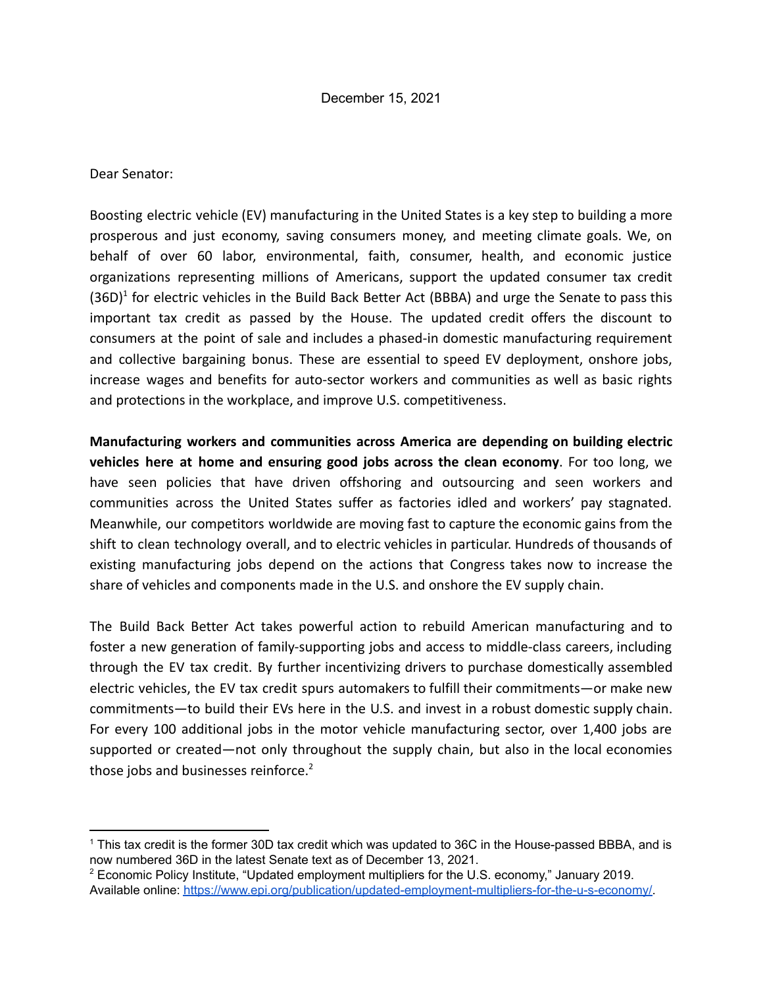Dear Senator:

Boosting electric vehicle (EV) manufacturing in the United States is a key step to building a more prosperous and just economy, saving consumers money, and meeting climate goals. We, on behalf of over 60 labor, environmental, faith, consumer, health, and economic justice organizations representing millions of Americans, support the updated consumer tax credit  $(36D)^1$  for electric vehicles in the Build Back Better Act (BBBA) and urge the Senate to pass this important tax credit as passed by the House. The updated credit offers the discount to consumers at the point of sale and includes a phased-in domestic manufacturing requirement and collective bargaining bonus. These are essential to speed EV deployment, onshore jobs, increase wages and benefits for auto-sector workers and communities as well as basic rights and protections in the workplace, and improve U.S. competitiveness.

**Manufacturing workers and communities across America are depending on building electric vehicles here at home and ensuring good jobs across the clean economy**. For too long, we have seen policies that have driven offshoring and outsourcing and seen workers and communities across the United States suffer as factories idled and workers' pay stagnated. Meanwhile, our competitors worldwide are moving fast to capture the economic gains from the shift to clean technology overall, and to electric vehicles in particular. Hundreds of thousands of existing manufacturing jobs depend on the actions that Congress takes now to increase the share of vehicles and components made in the U.S. and onshore the EV supply chain.

The Build Back Better Act takes powerful action to rebuild American manufacturing and to foster a new generation of family-supporting jobs and access to middle-class careers, including through the EV tax credit. By further incentivizing drivers to purchase domestically assembled electric vehicles, the EV tax credit spurs automakers to fulfill their commitments—or make new commitments—to build their EVs here in the U.S. and invest in a robust domestic supply chain. For every 100 additional jobs in the motor vehicle manufacturing sector, over 1,400 jobs are supported or created—not only throughout the supply chain, but also in the local economies those jobs and businesses reinforce.<sup>2</sup>

<sup>1</sup> This tax credit is the former 30D tax credit which was updated to 36C in the House-passed BBBA, and is now numbered 36D in the latest Senate text as of December 13, 2021.

<sup>&</sup>lt;sup>2</sup> Economic Policy Institute, "Updated employment multipliers for the U.S. economy," January 2019. Available online: [https://www.epi.org/publication/updated-employment-multipliers-for-the-u-s-economy/.](https://www.epi.org/publication/updated-employment-multipliers-for-the-u-s-economy/)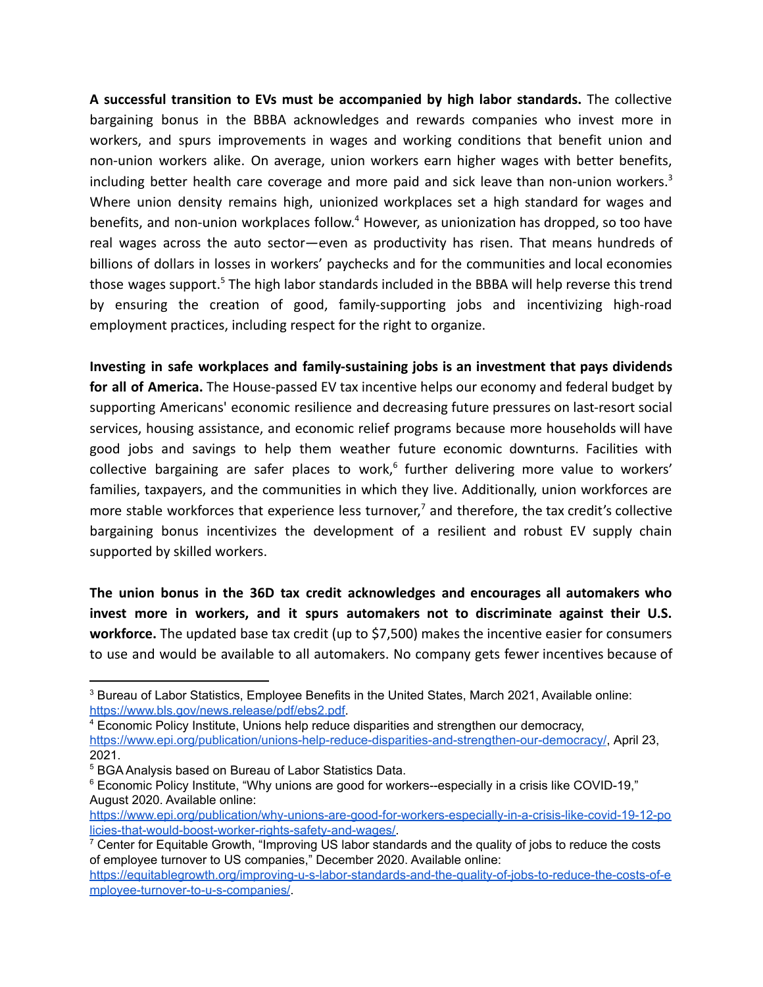**A successful transition to EVs must be accompanied by high labor standards.** The collective bargaining bonus in the BBBA acknowledges and rewards companies who invest more in workers, and spurs improvements in wages and working conditions that benefit union and non-union workers alike. On average, union workers earn higher wages with better benefits, including better health care coverage and more paid and sick leave than non-union workers. $3$ Where union density remains high, unionized workplaces set a high standard for wages and benefits, and non-union workplaces follow.<sup>4</sup> However, as unionization has dropped, so too have real wages across the auto sector—even as productivity has risen. That means hundreds of billions of dollars in losses in workers' paychecks and for the communities and local economies those wages support.<sup>5</sup> The high labor standards included in the BBBA will help reverse this trend by ensuring the creation of good, family-supporting jobs and incentivizing high-road employment practices, including respect for the right to organize.

**Investing in safe workplaces and family-sustaining jobs is an investment that pays dividends for all of America.** The House-passed EV tax incentive helps our economy and federal budget by supporting Americans' economic resilience and decreasing future pressures on last-resort social services, housing assistance, and economic relief programs because more households will have good jobs and savings to help them weather future economic downturns. Facilities with collective bargaining are safer places to work,<sup>6</sup> further delivering more value to workers' families, taxpayers, and the communities in which they live. Additionally, union workforces are more stable workforces that experience less turnover,<sup>7</sup> and therefore, the tax credit's collective bargaining bonus incentivizes the development of a resilient and robust EV supply chain supported by skilled workers.

**The union bonus in the 36D tax credit acknowledges and encourages all automakers who invest more in workers, and it spurs automakers not to discriminate against their U.S. workforce.** The updated base tax credit (up to \$7,500) makes the incentive easier for consumers to use and would be available to all automakers. No company gets fewer incentives because of

<sup>&</sup>lt;sup>3</sup> Bureau of Labor Statistics, Employee Benefits in the United States, March 2021, Available online: <https://www.bls.gov/news.release/pdf/ebs2.pdf>.

<sup>4</sup> Economic Policy Institute, Unions help reduce disparities and strengthen our democracy,

[https://www.epi.org/publication/unions-help-reduce-disparities-and-strengthen-our-democracy/,](https://www.epi.org/publication/unions-help-reduce-disparities-and-strengthen-our-democracy/) April 23, 2021.

<sup>5</sup> BGA Analysis based on Bureau of Labor Statistics Data.

 $6$  Economic Policy Institute, "Why unions are good for workers--especially in a crisis like COVID-19," August 2020. Available online:

[https://www.epi.org/publication/why-unions-are-good-for-workers-especially-in-a-crisis-like-covid-19-12-po](https://www.epi.org/publication/why-unions-are-good-for-workers-especially-in-a-crisis-like-covid-19-12-policies-that-would-boost-worker-rights-safety-and-wages/) [licies-that-would-boost-worker-rights-safety-and-wages/.](https://www.epi.org/publication/why-unions-are-good-for-workers-especially-in-a-crisis-like-covid-19-12-policies-that-would-boost-worker-rights-safety-and-wages/)

 $7$  Center for Equitable Growth, "Improving US labor standards and the quality of jobs to reduce the costs of employee turnover to US companies," December 2020. Available online:

[https://equitablegrowth.org/improving-u-s-labor-standards-and-the-quality-of-jobs-to-reduce-the-costs-of-e](https://equitablegrowth.org/improving-u-s-labor-standards-and-the-quality-of-jobs-to-reduce-the-costs-of-employee-turnover-to-u-s-companies/) [mployee-turnover-to-u-s-companies/](https://equitablegrowth.org/improving-u-s-labor-standards-and-the-quality-of-jobs-to-reduce-the-costs-of-employee-turnover-to-u-s-companies/).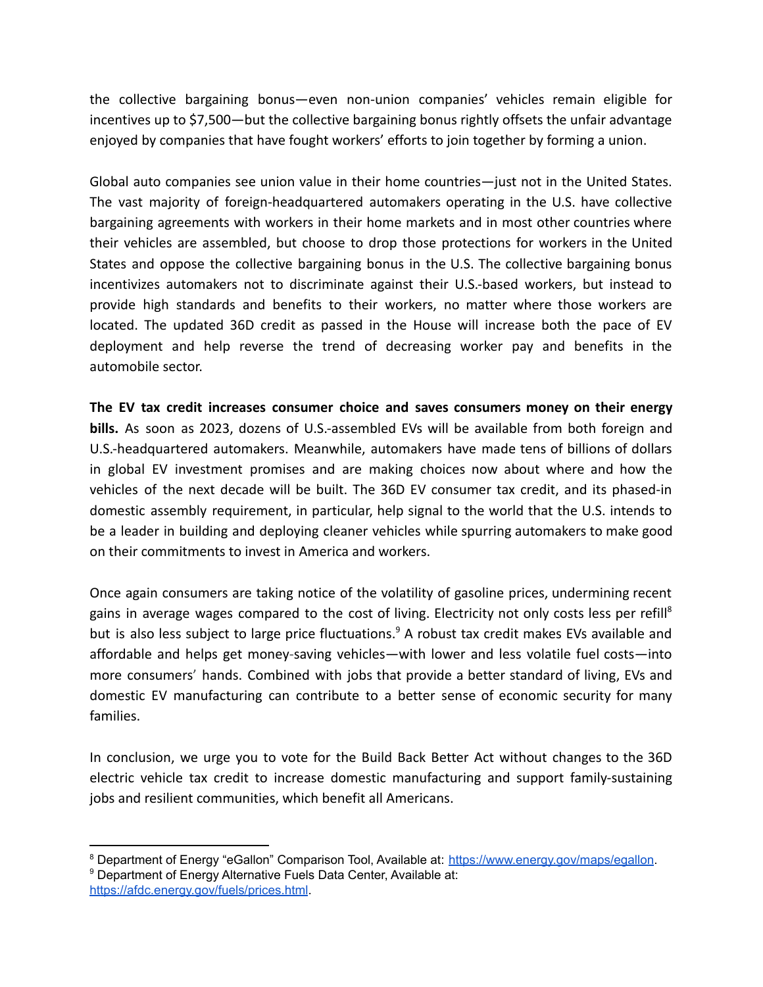the collective bargaining bonus—even non-union companies' vehicles remain eligible for incentives up to \$7,500—but the collective bargaining bonus rightly offsets the unfair advantage enjoyed by companies that have fought workers' efforts to join together by forming a union.

Global auto companies see union value in their home countries—just not in the United States. The vast majority of foreign-headquartered automakers operating in the U.S. have collective bargaining agreements with workers in their home markets and in most other countries where their vehicles are assembled, but choose to drop those protections for workers in the United States and oppose the collective bargaining bonus in the U.S. The collective bargaining bonus incentivizes automakers not to discriminate against their U.S.-based workers, but instead to provide high standards and benefits to their workers, no matter where those workers are located. The updated 36D credit as passed in the House will increase both the pace of EV deployment and help reverse the trend of decreasing worker pay and benefits in the automobile sector.

**The EV tax credit increases consumer choice and saves consumers money on their energy bills.** As soon as 2023, dozens of U.S.-assembled EVs will be available from both foreign and U.S.-headquartered automakers. Meanwhile, automakers have made tens of billions of dollars in global EV investment promises and are making choices now about where and how the vehicles of the next decade will be built. The 36D EV consumer tax credit, and its phased-in domestic assembly requirement, in particular, help signal to the world that the U.S. intends to be a leader in building and deploying cleaner vehicles while spurring automakers to make good on their commitments to invest in America and workers.

Once again consumers are taking notice of the volatility of gasoline prices, undermining recent gains in average wages compared to the cost of living. Electricity not only costs less per refill<sup>8</sup> but is also less subject to large price fluctuations.<sup>9</sup> A robust tax credit makes EVs available and affordable and helps get money-saving vehicles—with lower and less volatile fuel costs—into more consumers' hands. Combined with jobs that provide a better standard of living, EVs and domestic EV manufacturing can contribute to a better sense of economic security for many families.

In conclusion, we urge you to vote for the Build Back Better Act without changes to the 36D electric vehicle tax credit to increase domestic manufacturing and support family-sustaining jobs and resilient communities, which benefit all Americans.

<sup>&</sup>lt;sup>8</sup> Department of Energy "eGallon" Comparison Tool, Available at: <https://www.energy.gov/maps/egallon>.

<sup>&</sup>lt;sup>9</sup> Department of Energy Alternative Fuels Data Center, Available at: <https://afdc.energy.gov/fuels/prices.html>.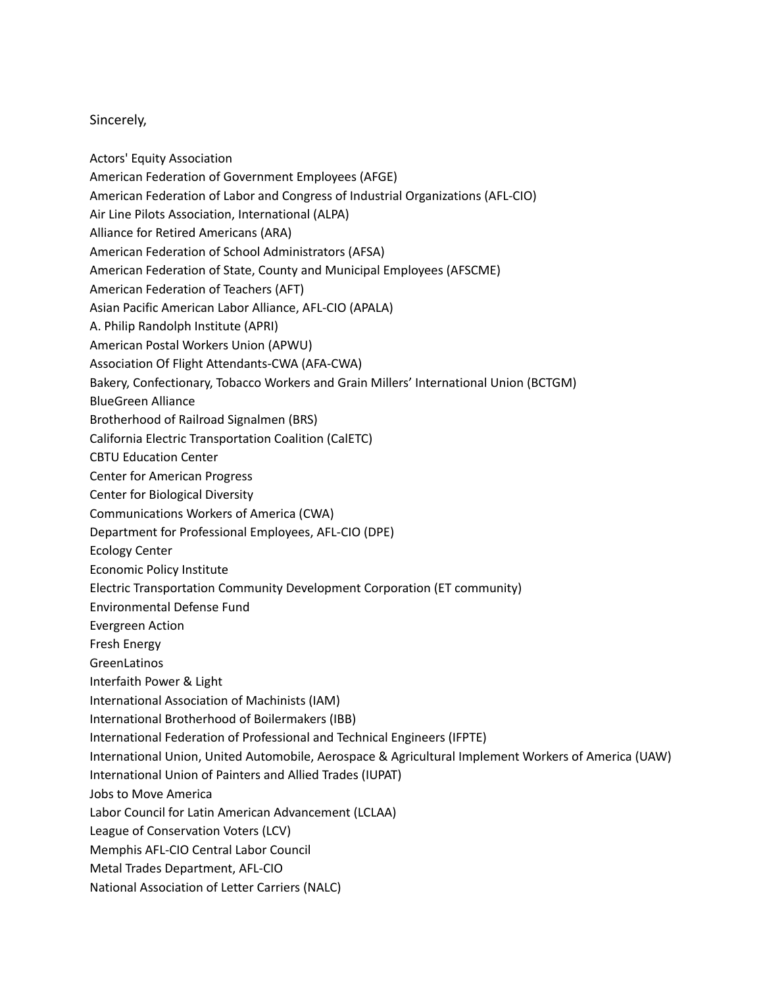## Sincerely,

- Actors' Equity Association
- American Federation of Government Employees (AFGE)
- American Federation of Labor and Congress of Industrial Organizations (AFL-CIO)
- Air Line Pilots Association, International (ALPA)
- Alliance for Retired Americans (ARA)
- American Federation of School Administrators (AFSA)
- American Federation of State, County and Municipal Employees (AFSCME)
- American Federation of Teachers (AFT)
- Asian Pacific American Labor Alliance, AFL-CIO (APALA)
- A. Philip Randolph Institute (APRI)
- American Postal Workers Union (APWU)
- Association Of Flight Attendants-CWA (AFA-CWA)
- Bakery, Confectionary, Tobacco Workers and Grain Millers' International Union (BCTGM)
- BlueGreen Alliance
- Brotherhood of Railroad Signalmen (BRS)
- California Electric Transportation Coalition (CalETC)
- CBTU Education Center
- Center for American Progress
- Center for Biological Diversity
- Communications Workers of America (CWA)
- Department for Professional Employees, AFL-CIO (DPE)
- Ecology Center
- Economic Policy Institute
- Electric Transportation Community Development Corporation (ET community)
- Environmental Defense Fund
- Evergreen Action
- Fresh Energy
- GreenLatinos
- Interfaith Power & Light
- International Association of Machinists (IAM)
- International Brotherhood of Boilermakers (IBB)
- International Federation of Professional and Technical Engineers (IFPTE)
- International Union, United Automobile, Aerospace & Agricultural Implement Workers of America (UAW)
- International Union of Painters and Allied Trades (IUPAT)
- Jobs to Move America
- Labor Council for Latin American Advancement (LCLAA)
- League of Conservation Voters (LCV)
- Memphis AFL-CIO Central Labor Council
- Metal Trades Department, AFL-CIO
- National Association of Letter Carriers (NALC)